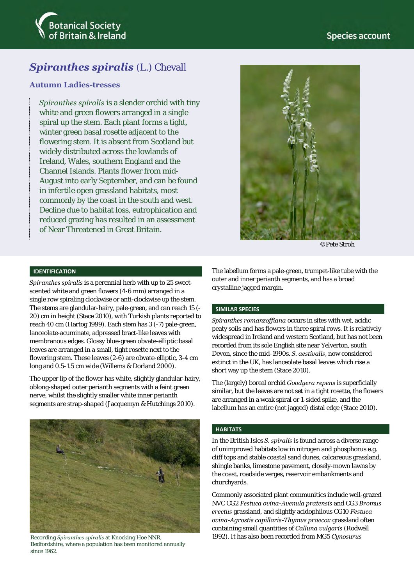



# **Spiranthes spiralis** (L.) Chevall

### **Autumn Ladies-tresses**

*Spiranthes spiralis* is a slender orchid with tiny white and green flowers arranged in a single spiral up the stem. Each plant forms a tight, winter green basal rosette adjacent to the flowering stem. It is absent from Scotland but widely distributed across the lowlands of Ireland, Wales, southern England and the Channel Islands. Plants flower from mid-August into early September, and can be found in infertile open grassland habitats, most commonly by the coast in the south and west. Decline due to habitat loss, eutrophication and reduced grazing has resulted in an assessment of Near Threatened in Great Britain.



©Pete Stroh

#### **IDENTIFICATION**

*Spiranthes spiralis* is a perennial herb with up to 25 sweetscented white and green flowers (4-6 mm) arranged in a single row spiraling clockwise or anti-clockwise up the stem. The stems are glandular-hairy, pale-green, and can reach 15 (- 20) cm in height (Stace 2010), with Turkish plants reported to reach 40 cm (Hartog 1999). Each stem has 3 (-7) pale-green, lanceolate-acuminate, adpressed bract-like leaves with membranous edges. Glossy blue-green obvate-elliptic basal leaves are arranged in a small, tight rosette next to the flowering stem. These leaves (2-6) are obvate-elliptic, 3-4 cm long and 0.5-1.5 cm wide (Willems & Dorland 2000).

The upper lip of the flower has white, slightly glandular-hairy, oblong-shaped outer perianth segments with a feint green nerve, whilst the slightly smaller white inner perianth segments are strap-shaped (Jacquemyn & Hutchings 2010).



Bedfordshire, where a population has been monitored annually since 1962.

The labellum forms a pale-green, trumpet-like tube with the outer and inner perianth segments, and has a broad crystalline jagged margin.

#### **SIMILAR SPECIES**

*Spiranthes romanzoffiana* occurs in sites with wet, acidic peaty soils and has flowers in three spiral rows. It is relatively widespread in Ireland and western Scotland, but has not been recorded from its sole English site near Yelverton, south Devon, since the mid-1990s. *S. aestivalis*, now considered extinct in the UK, has lanceolate basal leaves which rise a short way up the stem (Stace 2010).

The (largely) boreal orchid *Goodyera repens* is superficially similar, but the leaves are not set in a tight rosette, the flowers are arranged in a weak spiral or 1-sided spike, and the labellum has an entire (not jagged) distal edge (Stace 2010).

### **HABITATS**

In the British Isles *S. spiralis* is found across a diverse range of unimproved habitats low in nitrogen and phosphorus e.g. cliff tops and stable coastal sand dunes, calcareous grassland, shingle banks, limestone pavement, closely-mown lawns by the coast, roadside verges, reservoir embankments and churchyards.

Commonly associated plant communities include well-grazed NVC CG2 *Festuca ovina-Avenula pratensis* and CG3 *Bromus erectus* grassland, and slightly acidophilous CG10 *Festuca ovina-Agrostis capillaris-Thymus praecox* grassland often containing small quantities of *Calluna vulgaris* (Rodwell Recording *Spiranthes spiralis* at Knocking Hoe NNR, 1992). It has also been recorded from MG5 *Cynosurus*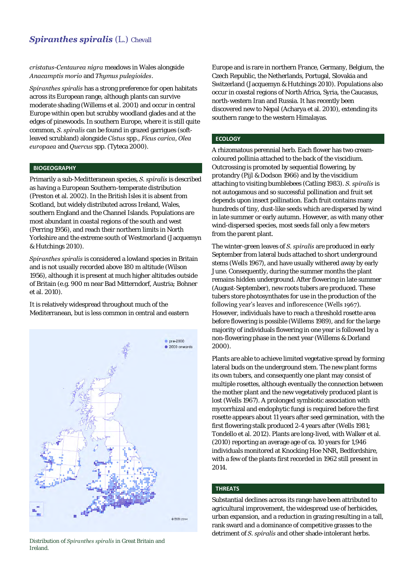### **Spiranthes spiralis (L.) Chevall**

*cristatus-Centaurea nigra* meadows in Wales alongside *Anacamptis morio* and *Thymus pulegioides*.

*Spiranthes spiralis* has a strong preference for open habitats across its European range, although plants can survive moderate shading (Willems et al. 2001) and occur in central Europe within open but scrubby woodland glades and at the edges of pinewoods. In southern Europe, where it is still quite common, *S. spiralis* can be found in grazed garrigues (softleaved scrubland) alongside *Cistus* spp., *Ficus carica, Olea europaea* and *Quercus* spp. (Tyteca 2000).

#### **BIOGEOGRAPHY**

Primarily a sub-Meditteranean species, *S. spiralis* is described as having a European Southern-temperate distribution (Preston et al. 2002). In the British Isles it is absent from Scotland, but widely distributed across Ireland, Wales, southern England and the Channel Islands. Populations are most abundant in coastal regions of the south and west (Perring 1956), and reach their northern limits in North Yorkshire and the extreme south of Westmorland (Jacquemyn & Hutchings 2010).

*Spiranthes spiralis* is considered a lowland species in Britain and is not usually recorded above 180 m altitude (Wilson 1956), although it is present at much higher altitudes outside of Britain (e.g. 900 m near Bad Mitterndorf, Austria; Bohner et al. 2010).

It is relatively widespread throughout much of the Mediterranean, but is less common in central and eastern



Distribution of *Spiranthes spiralis* in Great Britain and Ireland.

Europe and is rare in northern France, Germany, Belgium, the Czech Republic, the Netherlands, Portugal, Slovakia and Switzerland (Jacquemyn & Hutchings 2010). Populations also occur in coastal regions of North Africa, Syria, the Caucasus, north-western Iran and Russia. It has recently been discovered new to Nepal (Acharya et al. 2010), extending its southern range to the western Himalayas.

#### **ECOLOGY**

A rhizomatous perennial herb. Each flower has two creamcoloured pollinia attached to the back of the viscidium. Outcrossing is promoted by sequential flowering, by protandry (Pijl & Dodson 1966) and by the viscidium attaching to visiting bumblebees (Catling 1983). *S. spiralis* is not autogamous and so successful pollination and fruit set depends upon insect pollination. Each fruit contains many hundreds of tiny, dust-like seeds which are dispersed by wind in late summer or early autumn. However, as with many other wind-dispersed species, most seeds fall only a few meters from the parent plant.

The winter-green leaves of *S. spiralis* are produced in early September from lateral buds attached to short underground stems (Wells 1967), and have usually withered away by early June. Consequently, during the summer months the plant remains hidden underground. After flowering in late summer (August-September), new roots tubers are produced. These tubers store photosynthates for use in the production of the following year's leaves and inflorescence (Wells 1967). However, individuals have to reach a threshold rosette area before flowering is possible (Willems 1989), and for the large majority of individuals flowering in one year is followed by a non-flowering phase in the next year (Willems & Dorland 2000).

Plants are able to achieve limited vegetative spread by forming lateral buds on the underground stem. The new plant forms its own tubers, and consequently one plant may consist of multiple rosettes, although eventually the connection between the mother plant and the new vegetatively produced plant is lost (Wells 1967). A prolonged symbiotic association with mycorrhizal and endophytic fungi is required before the first rosette appears about 11 years after seed germination, with the first flowering stalk produced 2-4 years after (Wells 1981; Tondello et al. 2012). Plants are long-lived, with Walker et al. (2010) reporting an average age of ca. 10 years for 1,946 individuals monitored at Knocking Hoe NNR, Bedfordshire, with a few of the plants first recorded in 1962 still present in 2014.

#### **THREATS**

Substantial declines across its range have been attributed to agricultural improvement, the widespread use of herbicides, urban expansion, and a reduction in grazing resulting in a tall, rank sward and a dominance of competitive grasses to the detriment of *S. spiralis* and other shade-intolerant herbs.